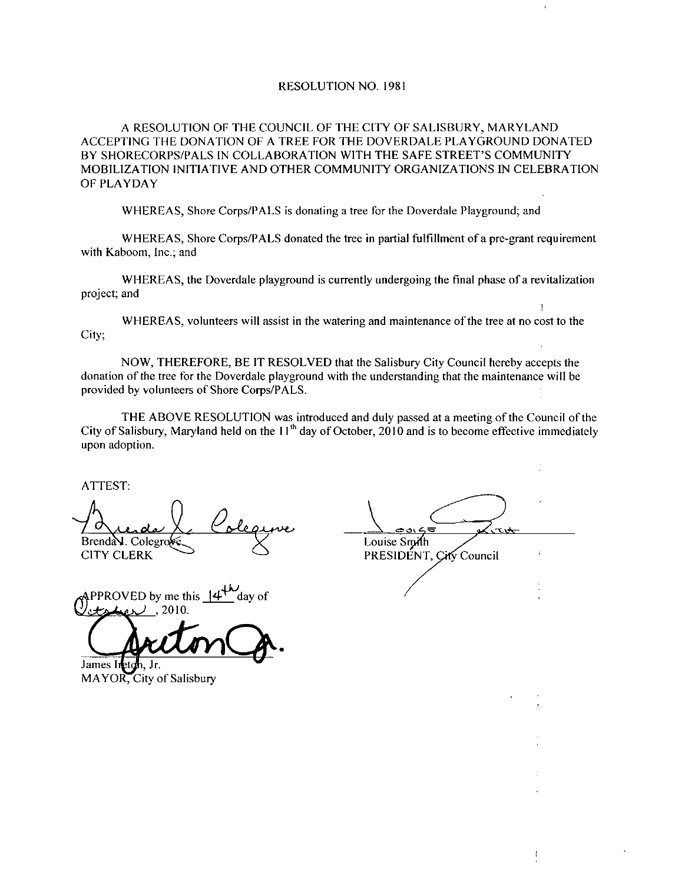### RESOLUTION NO. 1981

## A RESOLUTION OF fHE COUNCIL OF THE CITY OF SALISBURY MARYLAND ACCEPTING THE DONATION OF A TREE FOR THE DOVERDALE PLAYGROUND DONATED A RESOLUTION OF THE COUNCIL OF THE CITY OF SALISBURY, MARYLAND<br>ACCEPTING THE DONATION OF A TREE FOR THE DOVERDALE PLAYGROUND DONA1<br>BY SHORECORPS/PALS IN COLLABORATION WITH THE SAFE STREET'S COMMUNITY<br>MODILIZATION INITIATIV MOBILIZATION INITIATIVE AND OTHER COMMUNITY ORGANIZATIONS IN CELEBRATION OF PLAYDAY

WHEREAS, Shore Corps/PALS is donating a tree for the Doverdale Playground; and

WHEREAS, Shore Corps/PALS donated the tree in partial fulfillment of a pre-grant requirement with Kaboom, Inc.; and

WHEREAS, the Doverdale playground is currently undergoing the final phase of a revitalization project; and

City; WHEREAS, volunteers will assist in the watering and maintenance of the tree at no cost to the

NOW THEREFORE BE IT RESOLVED that the Salisbury City Council hereby accepts the donation of the tree for the Doverdale playground with the understanding that the maintenance will be provided by volunteers of Shore Corps/PALS.

THE ABOVE RESOLUTION was introduced and duly passed at a meeting of the Council of the City of Salisbury, Maryland held on the  $11<sup>th</sup>$  day of October, 2010 and is to become effective immediately upon adoption

ATTEST

ene<br>K Brenda L. Colegro CITY CLERK

ED by me this  $4^{\frac{1}{2}}$  day of ED by me tl<br>. 2010 <u>گر</u>

APPROVED

h, Jr. MAYOR, City of Salisbury

Louise Smith PRESIDENT, City Council

 $\ddagger$